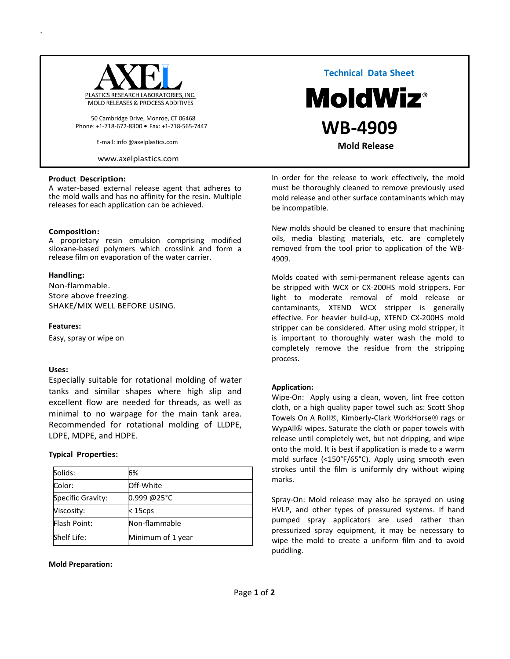

50 Cambridge Drive, Monroe, CT 06468 Phone: +1-718-672-8300 • Fax: +1-718-565-7447

E-mail: info @axelplastics.com

[www.axelplastics.com](http://www.axelplastics.com/)

#### **Product Description:**

A water-based external release agent that adheres to the mold walls and has no affinity for the resin. Multiple releases for each application can be achieved.

### **Composition:**

`

A proprietary resin emulsion comprising modified siloxane-based polymers which crosslink and form a release film on evaporation of the water carrier.

### **Handling:**

Non-flammable. Store above freezing. SHAKE/MIX WELL BEFORE USING.

### **Features:**

Easy, spray or wipe on

### **Uses:**

Especially suitable for rotational molding of water tanks and similar shapes where high slip and excellent flow are needed for threads, as well as minimal to no warpage for the main tank area. Recommended for rotational molding of LLDPE, LDPE, MDPE, and HDPE.

### **Typical Properties:**

| Solids:           | 6%                |
|-------------------|-------------------|
| Color:            | Off-White         |
| Specific Gravity: | 0.999 @25°C       |
| Viscosity:        | $15$ cps          |
| Flash Point:      | Non-flammable     |
| Shelf Life:       | Minimum of 1 year |

**Mold Preparation:** 

 **Technical Data Sheet MoldWiz**®  **WB-4909 Mold Release** 

In order for the release to work effectively, the mold must be thoroughly cleaned to remove previously used mold release and other surface contaminants which may be incompatible.

New molds should be cleaned to ensure that machining oils, media blasting materials, etc. are completely removed from the tool prior to application of the WB-4909.

Molds coated with semi-permanent release agents can be stripped with WCX or CX-200HS mold strippers. For light to moderate removal of mold release or contaminants, XTEND WCX stripper is generally effective. For heavier build-up, XTEND CX-200HS mold stripper can be considered. After using mold stripper, it is important to thoroughly water wash the mold to completely remove the residue from the stripping process.

### **Application:**

Wipe-On: Apply using a clean, woven, lint free cotton cloth, or a high quality paper towel such as: Scott Shop Towels On A Roll®, Kimberly-Clark WorkHorse® rags or WypAll<sup>®</sup> wipes. Saturate the cloth or paper towels with release until completely wet, but not dripping, and wipe onto the mold. It is best if application is made to a warm mold surface (<150°F/65°C). Apply using smooth even strokes until the film is uniformly dry without wiping marks.

Spray-On: Mold release may also be sprayed on using HVLP, and other types of pressured systems. If hand pumped spray applicators are used rather than pressurized spray equipment, it may be necessary to wipe the mold to create a uniform film and to avoid puddling.